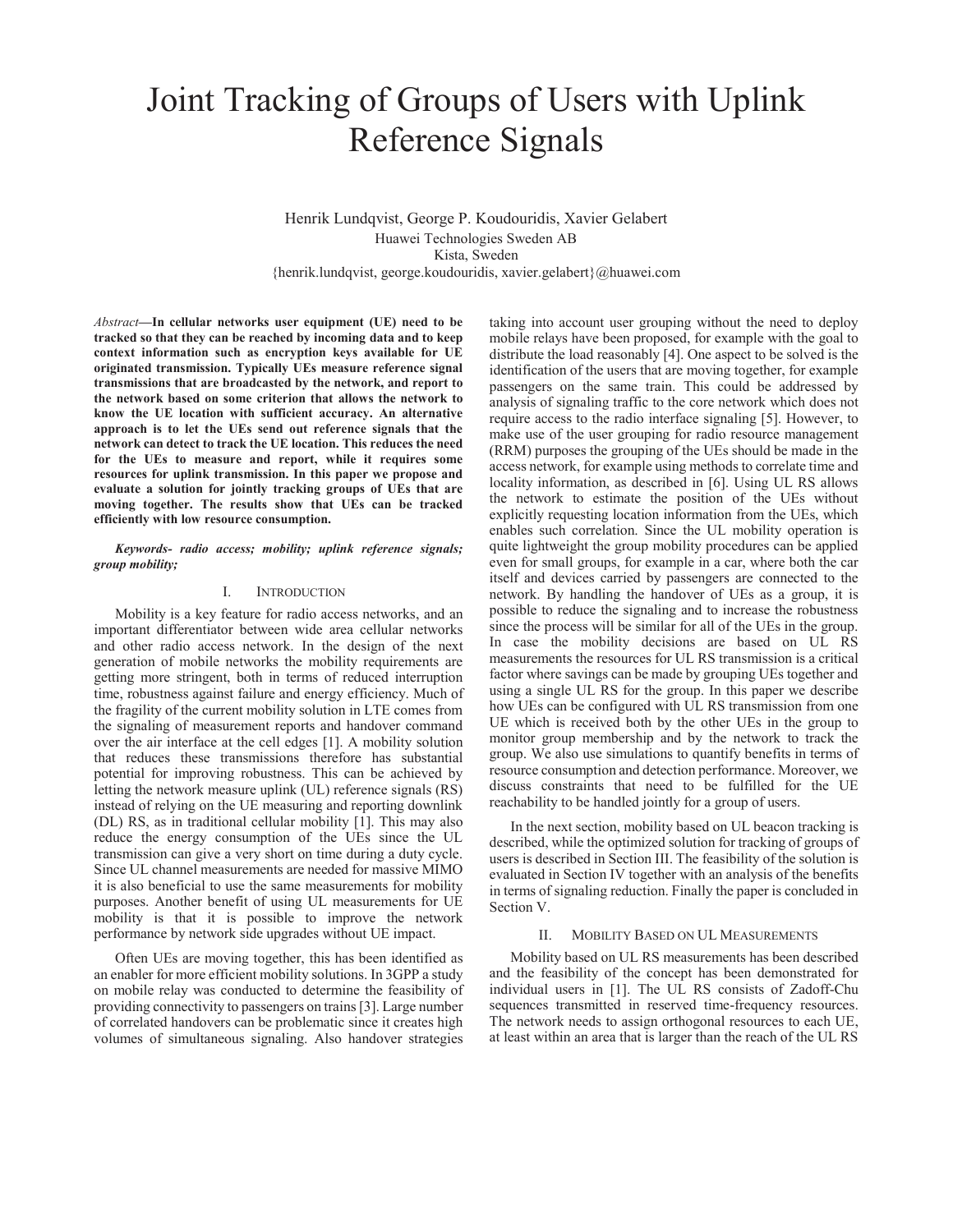# Joint Tracking of Groups of Users with Uplink Reference Signals

Henrik Lundqvist, George P. Koudouridis, Xavier Gelabert Huawei Technologies Sweden AB Kista, Sweden {henrik.lundqvist, george.koudouridis, xavier.gelabert}@huawei.com

*Abstract***—In cellular networks user equipment (UE) need to be tracked so that they can be reached by incoming data and to keep context information such as encryption keys available for UE originated transmission. Typically UEs measure reference signal transmissions that are broadcasted by the network, and report to the network based on some criterion that allows the network to know the UE location with sufficient accuracy. An alternative approach is to let the UEs send out reference signals that the network can detect to track the UE location. This reduces the need for the UEs to measure and report, while it requires some resources for uplink transmission. In this paper we propose and evaluate a solution for jointly tracking groups of UEs that are moving together. The results show that UEs can be tracked efficiently with low resource consumption.** 

## *Keywords- radio access; mobility; uplink reference signals; group mobility;*

## I. INTRODUCTION

Mobility is a key feature for radio access networks, and an important differentiator between wide area cellular networks and other radio access network. In the design of the next generation of mobile networks the mobility requirements are getting more stringent, both in terms of reduced interruption time, robustness against failure and energy efficiency. Much of the fragility of the current mobility solution in LTE comes from the signaling of measurement reports and handover command over the air interface at the cell edges [1]. A mobility solution that reduces these transmissions therefore has substantial potential for improving robustness. This can be achieved by letting the network measure uplink (UL) reference signals (RS) instead of relying on the UE measuring and reporting downlink (DL) RS, as in traditional cellular mobility  $[1]$ . This may also reduce the energy consumption of the UEs since the UL transmission can give a very short on time during a duty cycle. Since UL channel measurements are needed for massive MIMO it is also beneficial to use the same measurements for mobility purposes. Another benefit of using UL measurements for UE mobility is that it is possible to improve the network performance by network side upgrades without UE impact.

Often UEs are moving together, this has been identified as an enabler for more efficient mobility solutions. In 3GPP a study on mobile relay was conducted to determine the feasibility of providing connectivity to passengers on trains [3]. Large number of correlated handovers can be problematic since it creates high volumes of simultaneous signaling. Also handover strategies

taking into account user grouping without the need to deploy mobile relays have been proposed, for example with the goal to distribute the load reasonably [4]. One aspect to be solved is the identification of the users that are moving together, for example passengers on the same train. This could be addressed by analysis of signaling traffic to the core network which does not require access to the radio interface signaling [5]. However, to make use of the user grouping for radio resource management (RRM) purposes the grouping of the UEs should be made in the access network, for example using methods to correlate time and locality information, as described in [6]. Using UL RS allows the network to estimate the position of the UEs without explicitly requesting location information from the UEs, which enables such correlation. Since the UL mobility operation is quite lightweight the group mobility procedures can be applied even for small groups, for example in a car, where both the car itself and devices carried by passengers are connected to the network. By handling the handover of UEs as a group, it is possible to reduce the signaling and to increase the robustness since the process will be similar for all of the UEs in the group. In case the mobility decisions are based on UL RS measurements the resources for UL RS transmission is a critical factor where savings can be made by grouping UEs together and using a single UL RS for the group. In this paper we describe how UEs can be configured with UL RS transmission from one UE which is received both by the other UEs in the group to monitor group membership and by the network to track the group. We also use simulations to quantify benefits in terms of resource consumption and detection performance. Moreover, we discuss constraints that need to be fulfilled for the UE reachability to be handled jointly for a group of users.

In the next section, mobility based on UL beacon tracking is described, while the optimized solution for tracking of groups of users is described in Section III. The feasibility of the solution is evaluated in Section IV together with an analysis of the benefits in terms of signaling reduction. Finally the paper is concluded in Section V.

#### II. MOBILITY BASED ON UL MEASUREMENTS

Mobility based on UL RS measurements has been described and the feasibility of the concept has been demonstrated for individual users in [1]. The UL RS consists of Zadoff-Chu sequences transmitted in reserved time-frequency resources. The network needs to assign orthogonal resources to each UE, at least within an area that is larger than the reach of the UL RS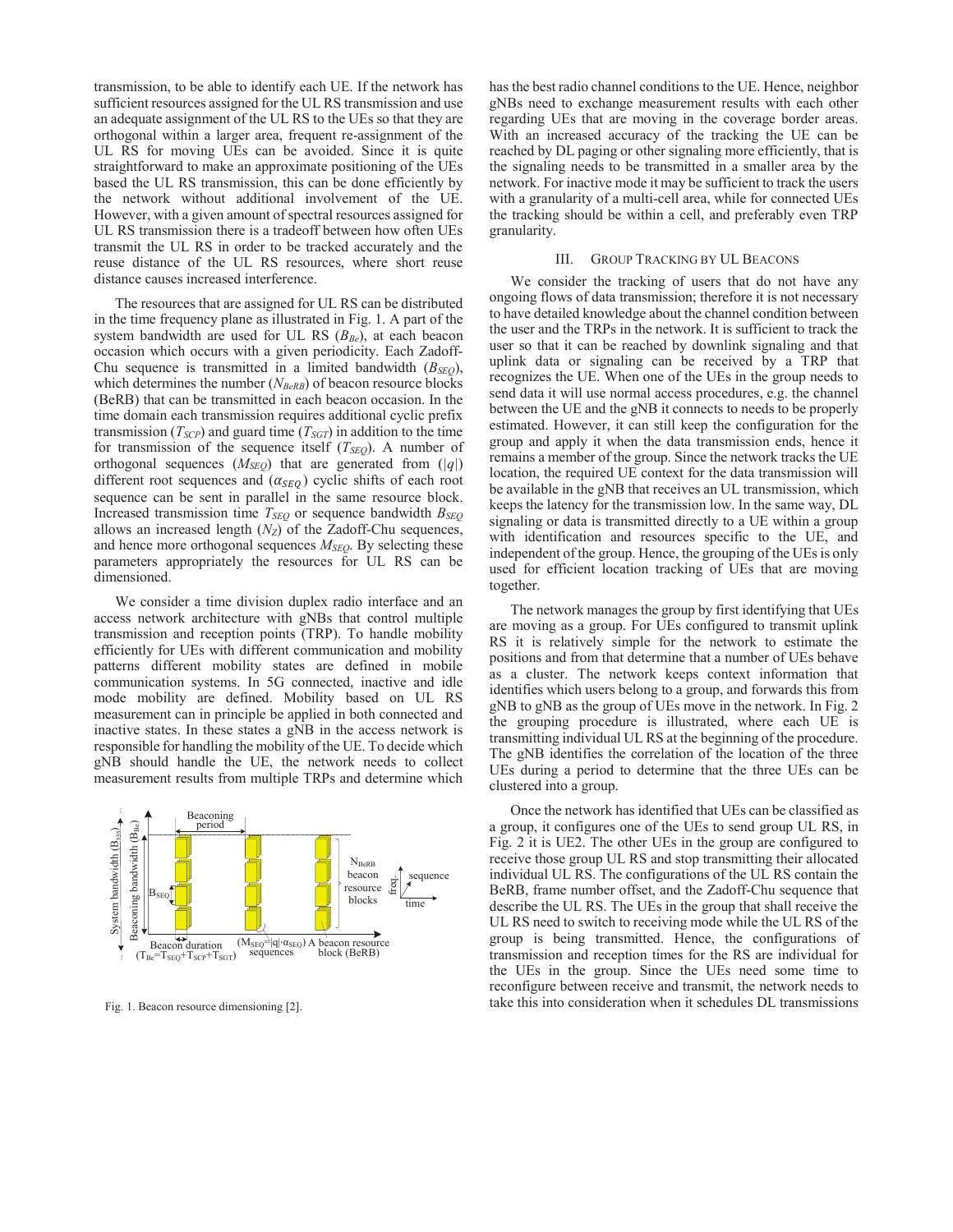transmission, to be able to identify each UE. If the network has sufficient resources assigned for the UL RS transmission and use an adequate assignment of the UL RS to the UEs so that they are orthogonal within a larger area, frequent re-assignment of the UL RS for moving UEs can be avoided. Since it is quite straightforward to make an approximate positioning of the UEs based the UL RS transmission, this can be done efficiently by the network without additional involvement of the UE. However, with a given amount of spectral resources assigned for UL RS transmission there is a tradeoff between how often UEs transmit the UL RS in order to be tracked accurately and the reuse distance of the UL RS resources, where short reuse distance causes increased interference.

The resources that are assigned for UL RS can be distributed in the time frequency plane as illustrated in Fig. 1. A part of the system bandwidth are used for UL RS (*BBe*), at each beacon occasion which occurs with a given periodicity. Each Zadoff-Chu sequence is transmitted in a limited bandwidth (*BSEQ*), which determines the number (*N<sub>BeRB*</sub>) of beacon resource blocks (BeRB) that can be transmitted in each beacon occasion. In the time domain each transmission requires additional cyclic prefix transmission (*TSCP*) and guard time (*TSGT*) in addition to the time for transmission of the sequence itself (*TSEQ*). A number of orthogonal sequences (*MSEQ*) that are generated from (*|q|*) different root sequences and  $(\alpha_{SEQ})$  cyclic shifts of each root sequence can be sent in parallel in the same resource block. Increased transmission time *TSEQ* or sequence bandwidth *BSEQ* allows an increased length (*NZ*) of the Zadoff-Chu sequences, and hence more orthogonal sequences *MSEQ*. By selecting these parameters appropriately the resources for UL RS can be dimensioned.

We consider a time division duplex radio interface and an access network architecture with gNBs that control multiple transmission and reception points (TRP). To handle mobility efficiently for UEs with different communication and mobility patterns different mobility states are defined in mobile communication systems. In 5G connected, inactive and idle mode mobility are defined. Mobility based on UL RS measurement can in principle be applied in both connected and inactive states. In these states a gNB in the access network is responsible for handling the mobility of the UE. To decide which gNB should handle the UE, the network needs to collect measurement results from multiple TRPs and determine which



has the best radio channel conditions to the UE. Hence, neighbor gNBs need to exchange measurement results with each other regarding UEs that are moving in the coverage border areas. With an increased accuracy of the tracking the UE can be reached by DL paging or other signaling more efficiently, that is the signaling needs to be transmitted in a smaller area by the network. For inactive mode it may be sufficient to track the users with a granularity of a multi-cell area, while for connected UEs the tracking should be within a cell, and preferably even TRP granularity.

# III. GROUP TRACKING BY UL BEACONS

We consider the tracking of users that do not have any ongoing flows of data transmission; therefore it is not necessary to have detailed knowledge about the channel condition between the user and the TRPs in the network. It is sufficient to track the user so that it can be reached by downlink signaling and that uplink data or signaling can be received by a TRP that recognizes the UE. When one of the UEs in the group needs to send data it will use normal access procedures, e.g. the channel between the UE and the gNB it connects to needs to be properly estimated. However, it can still keep the configuration for the group and apply it when the data transmission ends, hence it remains a member of the group. Since the network tracks the UE location, the required UE context for the data transmission will be available in the gNB that receives an UL transmission, which keeps the latency for the transmission low. In the same way, DL signaling or data is transmitted directly to a UE within a group with identification and resources specific to the UE, and independent of the group. Hence, the grouping of the UEs is only used for efficient location tracking of UEs that are moving together.

The network manages the group by first identifying that UEs are moving as a group. For UEs configured to transmit uplink RS it is relatively simple for the network to estimate the positions and from that determine that a number of UEs behave as a cluster. The network keeps context information that identifies which users belong to a group, and forwards this from gNB to gNB as the group of UEs move in the network. In Fig. 2 the grouping procedure is illustrated, where each UE is transmitting individual UL RS at the beginning of the procedure. The gNB identifies the correlation of the location of the three UEs during a period to determine that the three UEs can be clustered into a group.

Once the network has identified that UEs can be classified as a group, it configures one of the UEs to send group UL RS, in Fig. 2 it is UE2. The other UEs in the group are configured to receive those group UL RS and stop transmitting their allocated individual UL RS. The configurations of the UL RS contain the BeRB, frame number offset, and the Zadoff-Chu sequence that describe the UL RS. The UEs in the group that shall receive the UL RS need to switch to receiving mode while the UL RS of the group is being transmitted. Hence, the configurations of transmission and reception times for the RS are individual for the UEs in the group. Since the UEs need some time to reconfigure between receive and transmit, the network needs to The consideration  $\frac{a}{b}$  and  $\frac{b}{c}$  and  $\frac{b}{c}$  and  $\frac{b}{c}$  and  $\frac{b}{c}$  is  $\frac{b}{c}$  is  $\frac{b}{c}$  is  $\frac{b}{c}$  is  $\frac{b}{c}$  is  $\frac{b}{c}$  is  $\frac{b}{c}$  is  $\frac{b}{c}$  is  $\frac{b}{c}$  is  $\frac{b}{c}$  is  $\frac{b}{c}$  is  $\frac{$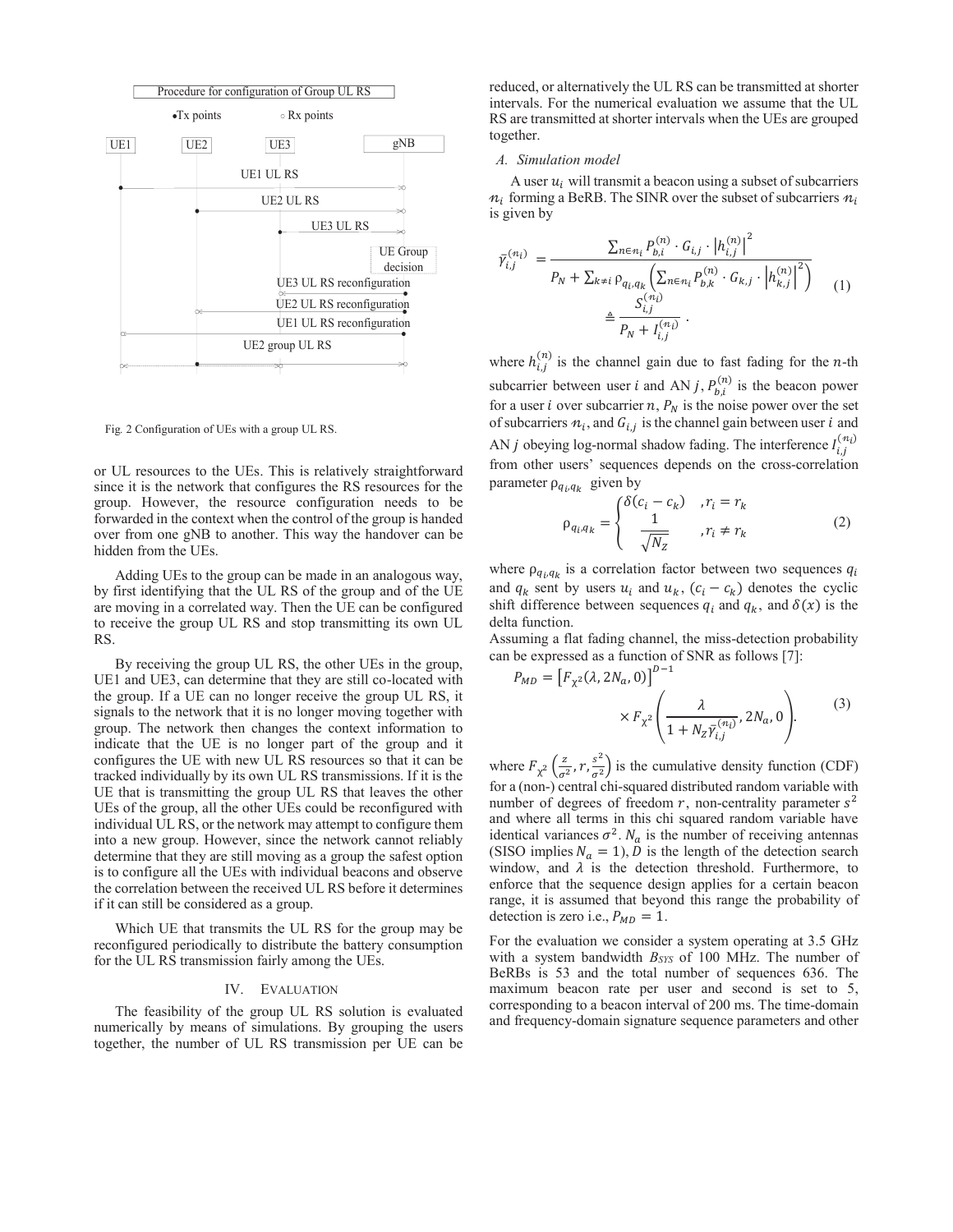

Fig*.* 2 Configuration of UEs with a group UL RS.

or UL resources to the UEs. This is relatively straightforward since it is the network that configures the RS resources for the group. However, the resource configuration needs to be forwarded in the context when the control of the group is handed over from one gNB to another. This way the handover can be hidden from the UEs.

Adding UEs to the group can be made in an analogous way, by first identifying that the UL RS of the group and of the UE are moving in a correlated way. Then the UE can be configured to receive the group UL RS and stop transmitting its own UL RS.

By receiving the group UL RS, the other UEs in the group, UE1 and UE3, can determine that they are still co-located with the group. If a UE can no longer receive the group UL RS, it signals to the network that it is no longer moving together with group. The network then changes the context information to indicate that the UE is no longer part of the group and it configures the UE with new UL RS resources so that it can be tracked individually by its own UL RS transmissions. If it is the UE that is transmitting the group UL RS that leaves the other UEs of the group, all the other UEs could be reconfigured with individual UL RS, or the network may attempt to configure them into a new group. However, since the network cannot reliably determine that they are still moving as a group the safest option is to configure all the UEs with individual beacons and observe the correlation between the received UL RS before it determines if it can still be considered as a group.

Which UE that transmits the UL RS for the group may be reconfigured periodically to distribute the battery consumption for the UL RS transmission fairly among the UEs.

#### IV. EVALUATION

The feasibility of the group UL RS solution is evaluated numerically by means of simulations. By grouping the users together, the number of UL RS transmission per UE can be reduced, or alternatively the UL RS can be transmitted at shorter intervals. For the numerical evaluation we assume that the UL RS are transmitted at shorter intervals when the UEs are grouped together.

#### *A. Simulation model*

A user  $u_i$  will transmit a beacon using a subset of subcarriers  $n_i$  forming a BeRB. The SINR over the subset of subcarriers  $n_i$ is given by

$$
\bar{\gamma}_{i,j}^{(n_i)} = \frac{\sum_{n \in n_i} P_{b,i}^{(n)} \cdot G_{i,j} \cdot \left| h_{i,j}^{(n)} \right|^2}{P_N + \sum_{k \neq i} \rho_{q_i, q_k} \left( \sum_{n \in n_i} P_{b,k}^{(n)} \cdot G_{k,j} \cdot \left| h_{k,j}^{(n)} \right|^2 \right)} \qquad (1)
$$
\n
$$
\triangleq \frac{S_{i,j}^{(n_i)}}{P_N + I_{i,j}^{(n_i)}}.
$$

where  $h_{i,j}^{(n)}$  is the channel gain due to fast fading for the *n*-th subcarrier between user *i* and AN *j*,  $P_{b,i}^{(n)}$  is the beacon power for a user *i* over subcarrier  $n$ ,  $P_N$  is the noise power over the set of subcarriers  $n_i$ , and  $G_{i,j}$  is the channel gain between user i and AN *j* obeying log-normal shadow fading. The interference  $I_{i,j}^{(n_i)}$ from other users' sequences depends on the cross-correlation parameter  $\rho_{q_i, q_k}$  given by

$$
\rho_{q_i, q_k} = \begin{cases} \delta(c_i - c_k) & r_i = r_k \\ \frac{1}{\sqrt{N_z}} & r_i \neq r_k \end{cases} \tag{2}
$$

where  $\rho_{q_i, q_k}$  is a correlation factor between two sequences  $q_i$ and  $q_k$  sent by users  $u_i$  and  $u_k$ ,  $(c_i - c_k)$  denotes the cyclic shift difference between sequences  $q_i$  and  $q_k$ , and  $\delta(x)$  is the delta function.

Assuming a flat fading channel, the miss-detection probability can be expressed as a function of SNR as follows [7]:

$$
P_{MD} = [F_{\chi^2}(\lambda, 2N_a, 0)]^{D-1} \times F_{\chi^2} \left( \frac{\lambda}{1 + N_Z \bar{\gamma}_{i,j}^{(n_i)}}, 2N_a, 0 \right).
$$
 (3)

where  $F_{\chi^2} \left( \frac{z}{\sigma^2} \right)$  $\frac{z}{\sigma^2}$ ,  $r, \frac{s^2}{\sigma^2}$  $\frac{d^2}{dz^2}$  is the cumulative density function (CDF) for a (non-) central chi-squared distributed random variable with number of degrees of freedom  $r$ , non-centrality parameter  $s^2$ and where all terms in this chi squared random variable have identical variances  $\sigma^2$ .  $N_a$  is the number of receiving antennas (SISO implies  $N_a = 1$ ), *D* is the length of the detection search window, and  $\lambda$  is the detection threshold. Furthermore, to enforce that the sequence design applies for a certain beacon range, it is assumed that beyond this range the probability of detection is zero i.e.,  $P_{MD} = 1$ .

For the evaluation we consider a system operating at 3.5 GHz with a system bandwidth *BSYS* of 100 MHz. The number of BeRBs is 53 and the total number of sequences 636. The maximum beacon rate per user and second is set to 5, corresponding to a beacon interval of 200 ms. The time-domain and frequency-domain signature sequence parameters and other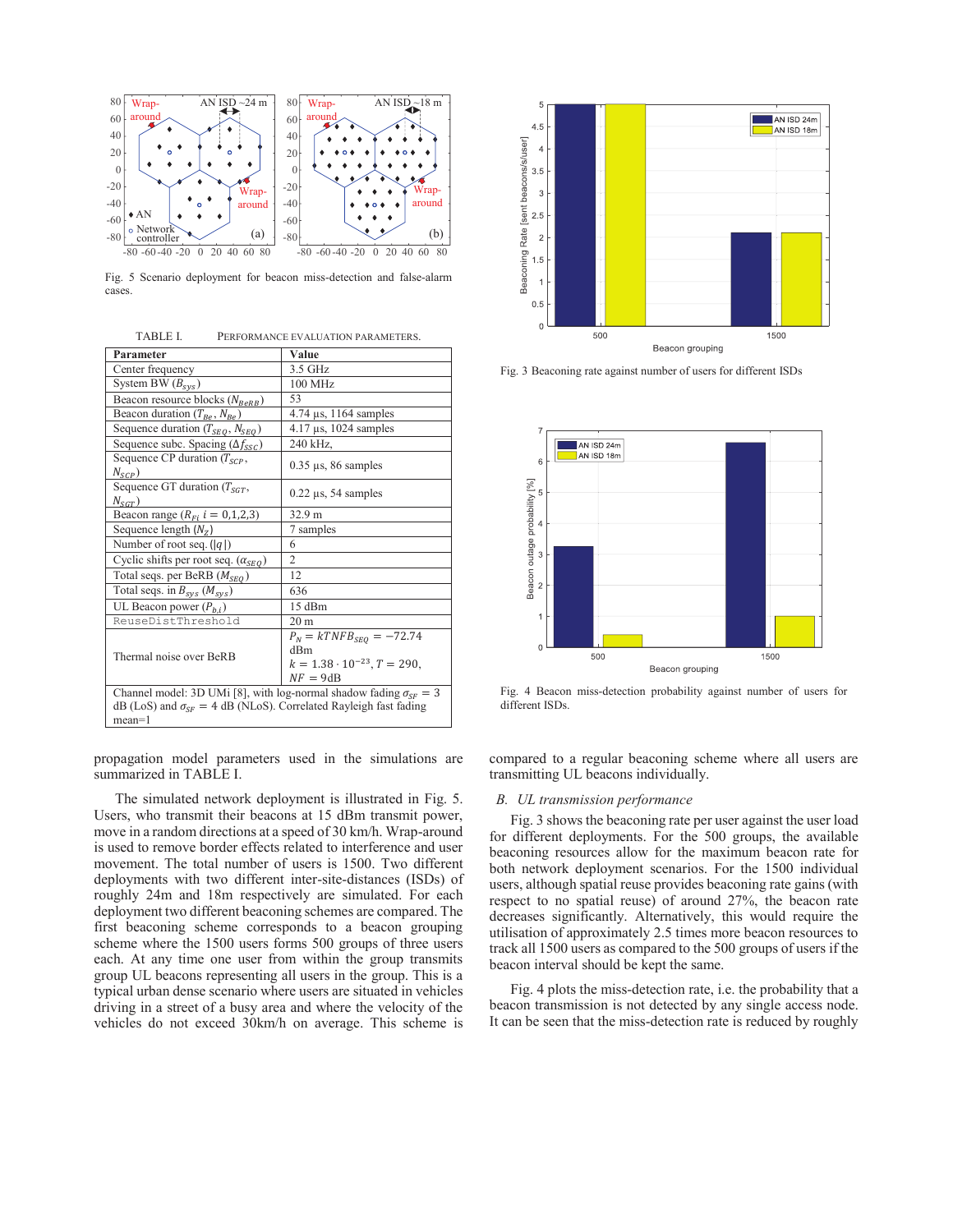

Fig. 5 Scenario deployment for beacon miss-detection and false-alarm cases.

| Parameter                                                                                                                                                             | Value                                                                                    |
|-----------------------------------------------------------------------------------------------------------------------------------------------------------------------|------------------------------------------------------------------------------------------|
| Center frequency                                                                                                                                                      | 3.5 GHz                                                                                  |
| System BW $(B_{sys})$                                                                                                                                                 | 100 MHz                                                                                  |
| Beacon resource blocks $(N_{BeRB})$                                                                                                                                   | 53                                                                                       |
| Beacon duration $(T_{Be}, N_{Be})$                                                                                                                                    | $4.74$ µs, 1164 samples                                                                  |
| Sequence duration $(T_{SEQ}, N_{SEQ})$                                                                                                                                | $4.17 \mu s$ , 1024 samples                                                              |
| Sequence subc. Spacing $(\Delta f_{SSC})$                                                                                                                             | 240 kHz,                                                                                 |
| Sequence CP duration $(T_{SCP}$ ,<br>$N_{\text{SCP}}$ )                                                                                                               | $0.35 \mu s$ , 86 samples                                                                |
| Sequence GT duration $(T_{SCT},$<br>$N_{SGT}$ )                                                                                                                       | $0.22 \mu s$ , 54 samples                                                                |
| Beacon range $(Rri i = 0,1,2,3)$                                                                                                                                      | 32.9 m                                                                                   |
| Sequence length $(N_z)$                                                                                                                                               | 7 samples                                                                                |
| Number of root seq. $( q )$                                                                                                                                           | 6                                                                                        |
| Cyclic shifts per root seq. $(\alpha_{\text{SEQ}})$                                                                                                                   | 2                                                                                        |
| Total seqs. per BeRB $(M_{SEO})$                                                                                                                                      | 12                                                                                       |
| Total seqs. in $B_{sys}$ ( $M_{sys}$ )                                                                                                                                | 636                                                                                      |
| UL Beacon power $(P_{h,i})$                                                                                                                                           | 15 dBm                                                                                   |
| ReuseDistThreshold                                                                                                                                                    | 20 <sub>m</sub>                                                                          |
| Thermal noise over BeRB                                                                                                                                               | $P_N = kTNFB_{SEO} = -72.74$<br>dBm<br>$k = 1.38 \cdot 10^{-23}, T = 290,$<br>$NF = 9dB$ |
| Channel model: 3D UMi [8], with log-normal shadow fading $\sigma_{SF} = 3$<br>$dB$ (LoS) and $\sigma_{SF} = 4$ dB (NLoS). Correlated Rayleigh fast fading<br>$mean=1$ |                                                                                          |

propagation model parameters used in the simulations are summarized in TABLE I.

The simulated network deployment is illustrated in Fig. 5. Users, who transmit their beacons at 15 dBm transmit power, move in a random directions at a speed of 30 km/h. Wrap-around is used to remove border effects related to interference and user movement. The total number of users is 1500. Two different deployments with two different inter-site-distances (ISDs) of roughly 24m and 18m respectively are simulated. For each deployment two different beaconing schemes are compared. The first beaconing scheme corresponds to a beacon grouping scheme where the 1500 users forms 500 groups of three users each. At any time one user from within the group transmits group UL beacons representing all users in the group. This is a typical urban dense scenario where users are situated in vehicles driving in a street of a busy area and where the velocity of the vehicles do not exceed 30km/h on average. This scheme is



Fig. 3 Beaconing rate against number of users for different ISDs



Fig. 4 Beacon miss-detection probability against number of users for different ISDs.

compared to a regular beaconing scheme where all users are transmitting UL beacons individually.

## *B. UL transmission performance*

Fig. 3 shows the beaconing rate per user against the user load for different deployments. For the 500 groups, the available beaconing resources allow for the maximum beacon rate for both network deployment scenarios. For the 1500 individual users, although spatial reuse provides beaconing rate gains (with respect to no spatial reuse) of around 27%, the beacon rate decreases significantly. Alternatively, this would require the utilisation of approximately 2.5 times more beacon resources to track all 1500 users as compared to the 500 groups of users if the beacon interval should be kept the same.

Fig. 4 plots the miss-detection rate, i.e. the probability that a beacon transmission is not detected by any single access node. It can be seen that the miss-detection rate is reduced by roughly